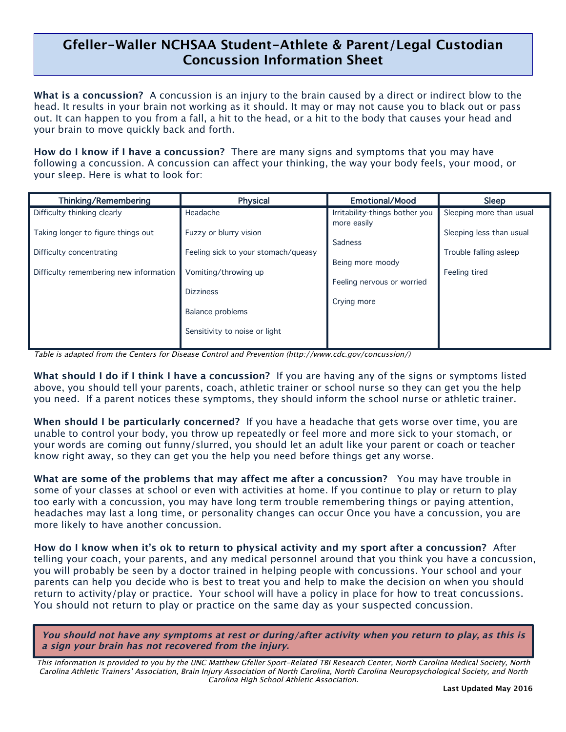## **Gfeller-Waller NCHSAA Student-Athlete & Parent/Legal Custodian Concussion Information Sheet**

l,

**What is a concussion?** A concussion is an injury to the brain caused by a direct or indirect blow to the head. It results in your brain not working as it should. It may or may not cause you to black out or pass out. It can happen to you from a fall, a hit to the head, or a hit to the body that causes your head and your brain to move quickly back and forth.

**How do I know if I have a concussion?** There are many signs and symptoms that you may have following a concussion. A concussion can affect your thinking, the way your body feels, your mood, or your sleep. Here is what to look for:

| <b>Thinking/Remembering</b>                                    | <b>Physical</b>                                               | <b>Emotional/Mood</b>                          | Sleep                                              |
|----------------------------------------------------------------|---------------------------------------------------------------|------------------------------------------------|----------------------------------------------------|
| Difficulty thinking clearly                                    | Headache                                                      | Irritability-things bother you                 | Sleeping more than usual                           |
| Taking longer to figure things out<br>Difficulty concentrating | Fuzzy or blurry vision<br>Feeling sick to your stomach/queasy | more easily<br>Sadness                         | Sleeping less than usual<br>Trouble falling asleep |
| Difficulty remembering new information                         | Vomiting/throwing up<br><b>Dizziness</b>                      | Being more moody<br>Feeling nervous or worried | Feeling tired                                      |
|                                                                | <b>Balance problems</b><br>Sensitivity to noise or light      | Crying more                                    |                                                    |

Table is adapted from the Centers for Disease Control and Prevention (http://www.cdc.gov/concussion/)

**What should I do if I think I have a concussion?** If you are having any of the signs or symptoms listed above, you should tell your parents, coach, athletic trainer or school nurse so they can get you the help you need. If a parent notices these symptoms, they should inform the school nurse or athletic trainer.

**When should I be particularly concerned?** If you have a headache that gets worse over time, you are unable to control your body, you throw up repeatedly or feel more and more sick to your stomach, or your words are coming out funny/slurred, you should let an adult like your parent or coach or teacher know right away, so they can get you the help you need before things get any worse.

**What are some of the problems that may affect me after a concussion?** You may have trouble in some of your classes at school or even with activities at home. If you continue to play or return to play too early with a concussion, you may have long term trouble remembering things or paying attention, headaches may last a long time, or personality changes can occur Once you have a concussion, you are more likely to have another concussion.

**How do I know when it's ok to return to physical activity and my sport after a concussion?** After telling your coach, your parents, and any medical personnel around that you think you have a concussion, you will probably be seen by a doctor trained in helping people with concussions. Your school and your parents can help you decide who is best to treat you and help to make the decision on when you should return to activity/play or practice. Your school will have a policy in place for how to treat concussions. You should not return to play or practice on the same day as your suspected concussion.

**You should not have any symptoms at rest or during/after activity when you return to play, as this is a sign your brain has not recovered from the injury.**

This information is provided to you by the UNC Matthew Gfeller Sport-Related TBI Research Center, North Carolina Medical Society, North Carolina Athletic Trainers' Association, Brain Injury Association of North Carolina, North Carolina Neuropsychological Society, and North Carolina High School Athletic Association.